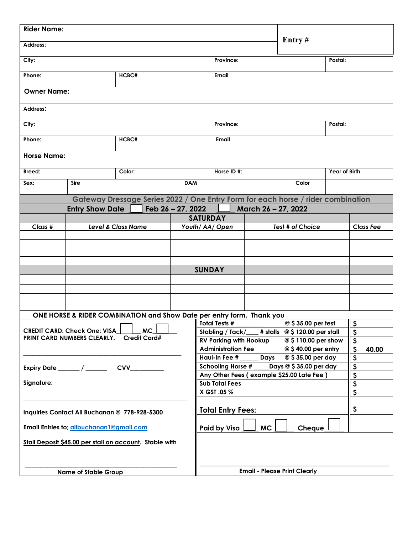| <b>Rider Name:</b>                                                               |                               |        |                   |                          |                                                                                                                                 |               |                     | Entry#                  |               |                               |
|----------------------------------------------------------------------------------|-------------------------------|--------|-------------------|--------------------------|---------------------------------------------------------------------------------------------------------------------------------|---------------|---------------------|-------------------------|---------------|-------------------------------|
| Address:                                                                         |                               |        |                   |                          |                                                                                                                                 |               |                     |                         |               |                               |
| City:                                                                            |                               |        |                   |                          | Province:                                                                                                                       |               |                     | Postal:                 |               |                               |
| HCBC#<br>Phone:                                                                  |                               |        |                   |                          | Email                                                                                                                           |               |                     |                         |               |                               |
| <b>Owner Name:</b>                                                               |                               |        |                   |                          |                                                                                                                                 |               |                     |                         |               |                               |
| Address:                                                                         |                               |        |                   |                          |                                                                                                                                 |               |                     |                         |               |                               |
| City:                                                                            |                               |        |                   | Province:                |                                                                                                                                 |               |                     | Postal:                 |               |                               |
| Phone:                                                                           |                               | HCBC#  |                   |                          |                                                                                                                                 | Email         |                     |                         |               |                               |
| <b>Horse Name:</b>                                                               |                               |        |                   |                          |                                                                                                                                 |               |                     |                         |               |                               |
| Breed:                                                                           |                               | Color: |                   |                          |                                                                                                                                 | Horse ID#:    |                     |                         | Year of Birth |                               |
| Sex:                                                                             | <b>Sire</b>                   |        |                   | <b>DAM</b>               |                                                                                                                                 |               |                     | Color                   |               |                               |
| Gateway Dressage Series 2022 / One Entry Form for each horse / rider combination |                               |        |                   |                          |                                                                                                                                 |               |                     |                         |               |                               |
|                                                                                  | <b>Entry Show Date</b>        |        | Feb 26 - 27, 2022 |                          |                                                                                                                                 |               | March 26 - 27, 2022 |                         |               |                               |
|                                                                                  |                               |        |                   | <b>SATURDAY</b>          |                                                                                                                                 |               |                     |                         |               |                               |
| Class #                                                                          | <b>Level &amp; Class Name</b> |        |                   | Youth/ AA/ Open          |                                                                                                                                 |               |                     | Test # of Choice        |               | <b>Class Fee</b>              |
|                                                                                  |                               |        |                   |                          |                                                                                                                                 |               |                     |                         |               |                               |
|                                                                                  |                               |        |                   |                          |                                                                                                                                 |               |                     |                         |               |                               |
|                                                                                  |                               |        |                   |                          |                                                                                                                                 |               |                     |                         |               |                               |
|                                                                                  |                               |        | <b>SUNDAY</b>     |                          |                                                                                                                                 |               |                     |                         |               |                               |
|                                                                                  |                               |        |                   |                          |                                                                                                                                 |               |                     |                         |               |                               |
|                                                                                  |                               |        |                   |                          |                                                                                                                                 |               |                     |                         |               |                               |
|                                                                                  |                               |        |                   |                          |                                                                                                                                 |               |                     |                         |               |                               |
|                                                                                  |                               |        |                   |                          |                                                                                                                                 |               |                     |                         |               |                               |
| ONE HORSE & RIDER COMBINATION and Show Date per entry form. Thank you            |                               |        |                   |                          |                                                                                                                                 | Total Tests # |                     | @ \$35.00 per test      |               | $\mathsf{S}$                  |
| <b>MC</b><br><b>CREDIT CARD: Check One: VISA</b>                                 |                               |        |                   |                          | Stabling / Tack/___# stalls @ \$120.00 per stall                                                                                |               |                     |                         |               | $\boldsymbol{\zeta}$          |
| <b>Credit Card#</b><br>PRINT CARD NUMBERS CLEARLY.                               |                               |        |                   |                          | <b>RV Parking with Hookup</b><br>$\mathsf{S}$<br>@ \$110.00 per show                                                            |               |                     |                         |               |                               |
|                                                                                  |                               |        |                   |                          | <b>Administration Fee</b><br>@ \$40.00 per entry                                                                                |               |                     |                         |               | $\boldsymbol{\zeta}$<br>40.00 |
|                                                                                  |                               |        |                   |                          | @ \$35.00 per day<br>\$<br>Haul-In Fee #<br>Days<br>$\overline{\mathbf{s}}$<br>Schooling Horse $\#$ _____Days @ \$35.00 per day |               |                     |                         |               |                               |
| Expiry Date ______ / ______<br><b>CVV</b>                                        |                               |        |                   |                          | $\overline{\boldsymbol{\varsigma}}$<br>Any Other Fees (example \$25.00 Late Fee)                                                |               |                     |                         |               |                               |
| Signature:                                                                       |                               |        |                   |                          | <b>Sub Total Fees</b>                                                                                                           |               |                     |                         |               | $\overline{\mathbf{v}}$       |
|                                                                                  |                               |        |                   | X GST .05 %              |                                                                                                                                 |               |                     | $\overline{\mathsf{s}}$ |               |                               |
| Inquiries Contact Ali Buchanan @ 778-928-5300                                    |                               |        |                   | <b>Total Entry Fees:</b> |                                                                                                                                 |               |                     | \$                      |               |                               |
| Email Entries to; alibuchanan1@gmail.com                                         |                               |        |                   |                          |                                                                                                                                 | Paid by Visa  | <b>MC</b>           | Cheque                  |               |                               |
| Stall Deposit \$45.00 per stall on account. Stable with                          |                               |        |                   |                          |                                                                                                                                 |               |                     |                         |               |                               |
|                                                                                  |                               |        |                   |                          |                                                                                                                                 |               |                     |                         |               |                               |
| <b>Name of Stable Group</b>                                                      |                               |        |                   |                          | <b>Email - Please Print Clearly</b>                                                                                             |               |                     |                         |               |                               |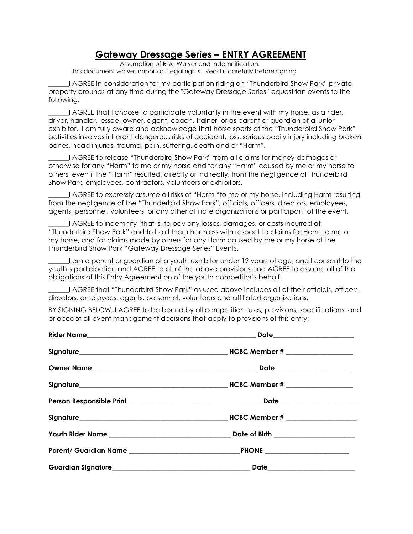## **Gateway Dressage Series – ENTRY AGREEMENT**

Assumption of Risk, Waiver and Indemnification. This document waives important legal rights. Read it carefully before signing

\_\_\_\_\_\_I AGREE in consideration for my participation riding on "Thunderbird Show Park" private property grounds at any time during the "Gateway Dressage Series" equestrian events to the following:

\_\_\_\_\_\_I AGREE that I choose to participate voluntarily in the event with my horse, as a rider, driver, handler, lessee, owner, agent, coach, trainer, or as parent or guardian of a junior exhibitor. I am fully aware and acknowledge that horse sports at the "Thunderbird Show Park" activities involves inherent dangerous risks of accident, loss, serious bodily injury including broken bones, head injuries, trauma, pain, suffering, death and or "Harm".

\_\_\_\_\_\_I AGREE to release "Thunderbird Show Park" from all claims for money damages or otherwise for any "Harm" to me or my horse and for any "Harm" caused by me or my horse to others, even if the "Harm" resulted, directly or indirectly, from the negligence of Thunderbird Show Park, employees, contractors, volunteers or exhibitors.

\_\_\_\_\_\_I AGREE to expressly assume all risks of "Harm "to me or my horse, including Harm resulting from the negligence of the "Thunderbird Show Park", officials, officers, directors, employees, agents, personnel, volunteers, or any other affiliate organizations or participant of the event.

\_\_\_\_\_\_I AGREE to indemnify (that is, to pay any losses, damages, or costs incurred at "Thunderbird Show Park" and to hold them harmless with respect to claims for Harm to me or my horse, and for claims made by others for any Harm caused by me or my horse at the Thunderbird Show Park "Gateway Dressage Series" Events.

I am a parent or guardian of a youth exhibitor under 19 years of age, and I consent to the youth's participation and AGREE to all of the above provisions and AGREE to assume all of the obligations of this Entry Agreement on of the youth competitor's behalf.

\_\_\_\_\_\_I AGREE that "Thunderbird Show Park" as used above includes all of their officials, officers, directors, employees, agents, personnel, volunteers and affiliated organizations.

BY SIGNING BELOW, I AGREE to be bound by all competition rules, provisions, specifications, and or accept all event management decisions that apply to provisions of this entry: